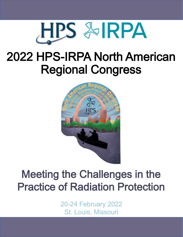

# 2022 HPS-IRPA North American Regional Congress



## Meeting the Challenges in the Practice of Radiation Protection

20-24 February 2022 St. Louis, Missouri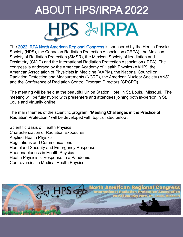# ABOUT HPS/IRPA 2022 HPS & IRPA

The [2022 IRPA North American Regional Congress i](http://burkclients.com/hps/2022IRPA/site/index.html)s sponsored by the Health Physics Society (HPS), the Canadian Radiation Protection Association (CRPA), the Mexican Society of Radiation Protection (SMSR), the Mexican Society of Irradiation and Dosimetry (SMID) and the International Radiation Protection Association (IRPA). The congress is endorsed by the American Academy of Health Physics (AAHP), the American Association of Physicists in Medicine (AAPM), the National Council on Radiation Protection and Measurements (NCRP), the American Nuclear Society (ANS), and the Conference of Radiation Control Program Directors (CRCPD).

The meeting will be held at the beautiful Union Station Hotel in St. Louis, Missouri. The meeting will be fully hybrid with presenters and attendees joining both in-person in St. Louis and virtually online.

The main themes of the scientific program, "Meeting Challenges in the Practice of Radiation Protection," will be developed with topics listed below:

Scientific Basis of Health Physics Characterization of Radiation Exposures Applied Health Physics Regulations and Communications Homeland Security and Emergency Response Reasonableness in Health Physics Health Physicists' Response to a Pandemic Controversies in Medical Health Physics

![](_page_1_Picture_5.jpeg)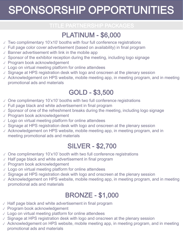# SPONSORSHIP OPPORTUNITIES

### PLATINUM - \$6,000

- ✓ Two complimentary 10'x10' booths with four full conference registrations
- ✓ Full page color cover advertisement (based on availability) in final program
- $\sqrt{2}$  Banner advertisement with link in the mobile app
- $\vee$  Sponsor of the exhibitor reception during the meeting, including logo signage
- ✓ Program book acknowledgement
- $\vee$  Logo on virtual meeting platform for online attendees
- $\vee$  Signage at HPS registration desk with logo and onscreen at the plenary session
- $\sqrt{2}$  Acknowledgement on HPS website, mobile meeting app, in meeting program, and in meeting promotional ads and materials

### GOLD - \$3,500

- ✓ One complimentary 10'x10' booths with two full conference registrations
- $\vee$  Full page black and white advertisement in final program
- $\sqrt{2}$  Sponsor of one of the refreshment breaks during the meeting, including logo signage
- ✓ Program book acknowledgement
- ✓ Logo on virtual meeting platform for online attendees
- ✓ Signage at HPS registration desk with logo and onscreen at the plenary session
- ✓ Acknowledgement on HPS website, mobile meeting app, in meeting program, and in meeting promotional ads and materials

### SILVER - \$2,700

- ✓ One complimentary 10'x10' booth with two full conference registrations
- ✓ Half page black and white advertisement in final program
- ✓ Program book acknowledgement
- $\vee$  Logo on virtual meeting platform for online attendees
- $\vee$  Signage at HPS registration desk with logo and onscreen at the plenary session
- $\sqrt{2}$  Acknowledgement on HPS website, mobile meeting app, in meeting program, and in meeting promotional ads and materials

### BRONZE - \$1,000

- ✓ Half page black and white advertisement in final program
- ✓ Program book acknowledgement
- $\vee$  Logo on virtual meeting platform for online attendees
- ✓ Signage at HPS registration desk with logo and onscreen at the plenary session
- $\sqrt{2}$  Acknowledgement on HPS website, mobile meeting app, in meeting program, and in meeting promotional ads and materials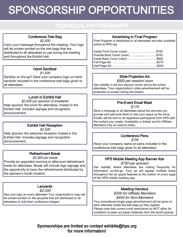# SPONSORSHIP OPPORTUNITIES

### Conference Tote Bag

\$2,500

Carry your message throughout the meeting. Your logo will be screen-printed on the tote bags that are distributed to all attendees to use during the meeting and throughout the Exhibit Hall.

#### Hand Sanitizer

\$1,500

Sanitize on the go!! Have your company logo on hand sanitizer included in the conference tote bags given to all attendees.

#### Lunch in Exhibit Hall

\$2,500 per sponsor (2 available) Help sponsor the lunch for attendees, hosted in the Exhibit Hall. Includes signage and recognition announcement.

#### Exhibit Hall Reception

\$2,500

Help sponsor the welcome reception hosted in the Exhibit Hall. Includes signage and recognition announcement.

#### Refreshment Break

#### \$2,000 per break

Provide an upgraded morning or afternoon refreshment break for attendees. Break will include logo signage and the opportunity to have the refreshments distributed by the sponsor's booth location.

#### Lanyards

\$2,000

See your logo on every attendee! Your organization's logo will be screen-printed on the lanyards that are distributed to all attendees to hold their conference badges.

#### Advertising in Final Program

Final Program is distributed to all attendees and also available online at HPS.org

| Inside Front Cover (color) \$700 |  |
|----------------------------------|--|
| Outside Back Cover (color)\$700  |  |
| Inside Back Cover (color) \$600  |  |
|                                  |  |
|                                  |  |

#### Slide Projection Ad

\$500 per session room Get visibility in the live session rooms and to the online

attendees. Your organization's slide advertisement will be projected on screen during the breaks.

#### Pre-Event Email Blast \$175

Send a message to all attendees about the services you provide and welcome them to visit your space at the show. Emails will be sent to all registered participants from HPS with the content you create. Availability is limited and for Affiliate Members only so reserve today.

#### Conference Pens

\$750

Have your company name on pens included in the conference tote bags given to all attendees.

### HPS Mobile Meeting App Banner Ads

\$750 per sponsor

Get visibility where attendees are visiting frequently for information on-the-go. Your ad will appear multiple times throughout the ad space featured at the bottom of every page of the HPS mobile meeting app.

#### Meeting Handout

\$300 for Affiliate Members \$400 for Non-Members

Your promotional single page advertisement will be given to each attendee inside the tote bags as they register. Please note that current covid restrictions do NOT allow for exhibitors to pass out paper materials from the booth spaces.

Sponsorships are limited so contact exhibits@hps.org for more information!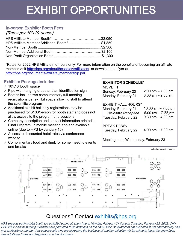## EXHIBIT OPPORTUNITIES

### In-person Exhibitor Booth Fees:

(Rates per 10'x10' space)

| HPS Affiliate Member Additional Booth* \$1,850 |  |
|------------------------------------------------|--|
|                                                |  |
|                                                |  |
|                                                |  |

\*Rates for 2022 HPS Affiliate members only. For more information on the benefits of becoming an affiliate member visit<http://hps.org/aboutthesociety/affiliates/> or download the flyer at [http://hps.org/documents/affiliate\\_membership.pdf](http://hps.org/documents/affiliate_membership.pdf)

#### Exhibitor Package Includes:

- ✓ 10'x10' booth space
- $\sqrt{\ }$  Pipe with hanging drape and an identification sign
- ✓ Booths include two complimentary full-meeting registrations per exhibit space allowing staff to attend the scientific program
- $\sqrt{\ }$  Additional exhibit hall only registrations may be purchased for \$100/person for booth staff and does not allow access to the program and sessions
- $\sqrt{2}$  Company description and contact information printed in Final Program, in mobile meeting app and available online (due to HPS by January 10)
- ✓ Access to discounted hotel rates via conference website
- ✓ Complimentary food and drink for some meeting events and breaks

#### EXHIBITOR SCHEDULE\*

| MOVE IN<br>Sunday, February 20<br>Monday, February 21                                                 | $2:00 \text{ pm} - 7:00 \text{ pm}$<br>$8:00$ am $-9:30$ am       |
|-------------------------------------------------------------------------------------------------------|-------------------------------------------------------------------|
| <b>EXHIBIT HALL HOURS*</b><br>Monday, February 21<br><b>Welcome Reception</b><br>Tuesday, February 22 | 10:00 am $- 7:00$ pm<br>5:00 pm - 7:00 pm<br>$9:30$ am $-4:00$ pm |
| <b>BREAK DOWN</b><br>Tuesday, February 22                                                             | $4:00 \text{ pm} - 7:00 \text{ pm}$                               |

Meeting ends Wednesday, February 23

\*schedule subject to change

![](_page_4_Figure_17.jpeg)

### Questions? Contact exhibits@hps.org

HPS expects each exhibit booth to be staffed during all show hours, Monday, February 21 through Tuesday, February 22, 2022. Only HPS 2022 Annual Meeting exhibitors are permitted to do business on the show floor. All exhibitors are expected to act appropriately and in a professional manner. Any salespeople who are disrupting the business of another exhibitor will be asked to leave the show floor. See additional Rules and Regulations in this document.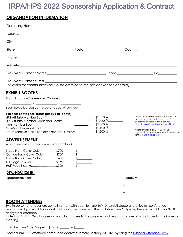## IRPA/HPS 2022 Sponsorship Application & Contract

#### **ORGANIZATION INFORMATION**

| Pre-Event Contact Email Press and American contract to the contract of the contract of the contract of the contract of the contract of the contract of the contract of the contract of the contract of the contract of the con<br>(All exhibitor communications will be emailed to the pre-convention contact)                                                                                                                                               |                                                                                                                                                                                                                                                                                                                                                                                                                                                                                                                                                                                                                                                                                                            |                                                                                                                                                                                                                                                                                          |
|--------------------------------------------------------------------------------------------------------------------------------------------------------------------------------------------------------------------------------------------------------------------------------------------------------------------------------------------------------------------------------------------------------------------------------------------------------------|------------------------------------------------------------------------------------------------------------------------------------------------------------------------------------------------------------------------------------------------------------------------------------------------------------------------------------------------------------------------------------------------------------------------------------------------------------------------------------------------------------------------------------------------------------------------------------------------------------------------------------------------------------------------------------------------------------|------------------------------------------------------------------------------------------------------------------------------------------------------------------------------------------------------------------------------------------------------------------------------------------|
| <u>EXHIBIT BOOTHS</u><br>Booth Location Preference (Choose 3):<br>Booth space is allocated in order of receipt of contract.<br>Exhibitor Booth Fees: (rates per 10'x10' booth)<br>Professional Scientific Society / Non-profit Rate**\$1,300 \$__________<br><b>ADVERTISEMENT</b><br>Advertisement in printed online program book<br>Inside Front Cover Color\$700<br>Outside Back Cover Color\$700<br>Inside Back Cover Color\$600<br>Full Page B&W Ad\$375 | $\begin{picture}(20,20) \put(0,0){\line(1,0){10}} \put(15,0){\line(1,0){10}} \put(15,0){\line(1,0){10}} \put(15,0){\line(1,0){10}} \put(15,0){\line(1,0){10}} \put(15,0){\line(1,0){10}} \put(15,0){\line(1,0){10}} \put(15,0){\line(1,0){10}} \put(15,0){\line(1,0){10}} \put(15,0){\line(1,0){10}} \put(15,0){\line(1,0){10}} \put(15,0){\line(1$<br>$\begin{picture}(20,20) \put(0,0){\line(1,0){10}} \put(15,0){\line(1,0){10}} \put(15,0){\line(1,0){10}} \put(15,0){\line(1,0){10}} \put(15,0){\line(1,0){10}} \put(15,0){\line(1,0){10}} \put(15,0){\line(1,0){10}} \put(15,0){\line(1,0){10}} \put(15,0){\line(1,0){10}} \put(15,0){\line(1,0){10}} \put(15,0){\line(1,0){10}} \put(15,0){\line(1$ | *Rates for 2022 HPS Affiliate members. For<br>more information on the benefits of<br>becoming an affiliate member visit<br>http://hps.org/aboutthesociety/affiliates/<br>**Rate available only for 501(c)(3)<br>organizations. A letter of exemption must be<br>sent to exhibits@hps.org |
| Half Page B&W Ad\$200<br><b>SPONSORSHIP</b>                                                                                                                                                                                                                                                                                                                                                                                                                  |                                                                                                                                                                                                                                                                                                                                                                                                                                                                                                                                                                                                                                                                                                            |                                                                                                                                                                                                                                                                                          |
| Sponsorship Item                                                                                                                                                                                                                                                                                                                                                                                                                                             |                                                                                                                                                                                                                                                                                                                                                                                                                                                                                                                                                                                                                                                                                                            | Amount                                                                                                                                                                                                                                                                                   |
|                                                                                                                                                                                                                                                                                                                                                                                                                                                              |                                                                                                                                                                                                                                                                                                                                                                                                                                                                                                                                                                                                                                                                                                            |                                                                                                                                                                                                                                                                                          |
| <u>BOOTH ATTENDEES</u><br>Two in-person attendees are complimentary with each full rate 10'x10' exhibit space and enjoy full conference                                                                                                                                                                                                                                                                                                                      |                                                                                                                                                                                                                                                                                                                                                                                                                                                                                                                                                                                                                                                                                                            |                                                                                                                                                                                                                                                                                          |

registration. If you would like additional booth personnel with the Exhibits Access Only rate, there is an additional \$100 charge per attendee.

Note that Exhibits Only badges do not allow access to the program and sessions and are only available for the in-person meeting.

Exhibit Access Only Badges  $$100 \text{ X }$  \_\_\_\_\_ = \$\_\_\_\_\_\_

Please submit ALL attendee names and addresses before January 30, 2022 by using the [Exhibitor Attendee Form.](https://forms.gle/JackG8ndtJg3Aebt7)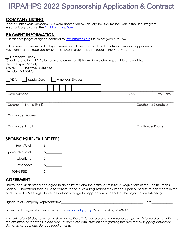### IRPA/HPS 2022 Sponsorship Application & Contract

#### **COMPANY LISTING**

Please submit your Company's 50-word description by January 10, 2022 for inclusion in the Final Program electronically by using the [Exhibitor Listing Form](https://forms.gle/HbtHHnEG1BU5R3Fg7)

#### **PAYMENT INFORMATION**

Submit both pages of signed contract to: [exhibits@hps.org](mailto:exhibits@hps.org) Or Fax to: (412) 532-3747

Full payment is due within 15 days of reservation to secure your booth and/or sponsorship opportunity. Payment must be received by June 15, 2022 in order to be included in the Final Program.

| Company Check                                                                               |            |                      |
|---------------------------------------------------------------------------------------------|------------|----------------------|
| Checks are to be in US Dollars only and drawn on US Banks. Make checks payable and mail to: |            |                      |
| <b>Health Physics Society</b>                                                               |            |                      |
| 950 Herndon Parkway, Suite 450                                                              |            |                      |
| Herndon, VA 20170                                                                           |            |                      |
| MasterCard<br><b>American Express</b><br><b>VISA</b>                                        |            |                      |
|                                                                                             |            |                      |
|                                                                                             |            |                      |
| <b>Card Number</b>                                                                          | <b>CVV</b> | Exp. Date            |
|                                                                                             |            |                      |
|                                                                                             |            |                      |
| Cardholder Name (Print)                                                                     |            | Cardholder Signature |
|                                                                                             |            |                      |
| <b>Cardholder Address</b>                                                                   |            |                      |
|                                                                                             |            |                      |
| Cardholder Email                                                                            |            | Cardholder Phone     |

### **SPONSORSHIP/EXHIBIT FEES**

| Booth Total       |  |
|-------------------|--|
| Sponsorship Total |  |
| Advertising       |  |
| Attendees         |  |
| <b>TOTAL FEES</b> |  |
|                   |  |

### **AGREEMENT**

I have read, understood and agree to abide by this and the entire set of Rules & Regulations of the Health Physics Society. I understand that failure to adhere to the Rules & Regulations may impact upon our ability to participate in this and future HPS Meetings. I have the authority to sign this application on behalf of the organization exhibiting.

| Signature of Company Representative |  |
|-------------------------------------|--|
|-------------------------------------|--|

Submit both pages of signed contract to: exhibits@hps,org Or Fax to: (412) 532-3747

*Approximately 30 days prior to the show date, the official decorator and drayage company will forward an email link to the exhibitor service website and manual complete with information regarding furniture rental, shipping, installation, dismantling, labor and signage requirements.*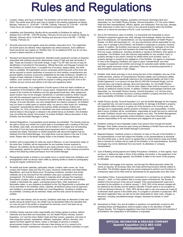## Rules and Regulations

- 1. Location, Dates, and Hours of Exhibit: The Exhibition will be held at the Union Station Hotel. The exhibit area will be open free of charge to the meeting registrants as follows: Monday, February 21, 10:00 AM – 7:00 PM, Tuesday, February 22, 9:30 AM – 4:00 PM. These hours are subject to change as dictated by program requirements.
- 2. Installation and Dismantling: Booths will be accessible to Exhibitors for setting up displays from 2:00 PM – 5:00 PM Sunday, February 20 and are to be ready for display by Monday, February 26 by 10:00 AM. Packing and removal is from 4:00 PM – 7:00 PM, Tuesday, February 22.
- 3. All booth personnel must register using the exhibitor reservation form. Two registrants per booth space are allowed; these registrants may attend sessions. Each additional booth personnel may register as "Exhibits Only" for an additional \$100, but do not have access to attend sessions or lectures.
- 4. Standard and Special Booth Equipment: Standard booth equipment consists of draperies assembled with polished aluminum attachments, backs 8' high and side rail dividers 3' high. These are included in the booth charge. A sign 7" by 44" with one line of copy for identification is furnished for the backdrop. Official Decorator and Drayage Company for the Exhibitors is Summit Expo. A complete line of furniture, display tables, and other items is available. All independent service companies performing work at the show site will be required to submit certificates of insurance for both workers comprehensive and general liability insurance at amounts established by the state of Missouri. Deadline for receipt of these materials is February 1 —three weeks prior to the start of the show. In addition, such contractor must submit his request in writing using the EAC form in the exhibitor service manual and adhere to all rules and regulations listed.
- 5. Burk and Associates, Inc's assignment of booth space is final and shall constitute an acceptance of the Exhibitor's offer to occupy space. Assignments will be made only after receipt of the Contract for Exhibitors and the appropriate booth fees. After assignment, space location may not be changed, transferred, or canceled except by written request and with the subsequent approval of Burk and Associates, Inc. Notwithstanding the above, Burk and Associates, Inc reserves the right to make the space assignment and to change, at its sole discretion, any such assignments as it deems necessary. An Exhibitor may not share or sublet space to another party, nor permit in their booth non -exhibiting companies' representatives without the express written permission of Burk and Associates, Inc. Only companies or individuals who have contracted directly with HPS shall be listed in the program or allowed in the exhibit hall as an Exhibitor. One Exhibitor may not exhibit the named "end product" of another Exhibitor without permission of that Exhibitor and the Exhibit Manager in writing
- 6. General Regulations: Loud speaking sound displays are prohibited. The Society reserves the right to refuse any exhibit not in good taste or inconsistent with a meeting of this kind. All exhibits, back walls, and decorations will be limited to 8' in height and not extending more than 5' from the back wall except actual equipment which in normal operation exceeds this height. Permission to exhibit equipment with abnormal heights must be obtained from the Exhibit Manager. Any large items must be placed in the rear 5' of the booth. Please refer to the Booth Display Rules in the Exhibitor Service Manual.
- 7. Exhibitor will be responsible for sales tax owed to Missouri, on any transactions made on the show floor. Exhibitor will be responsible for any business license required by Missouri. No exhibitor will be permitted to give away premium items, nor to conduct any prize drawings, awards for signing of names and addresses, or other extreme promotions without first obtaining written permission from the Exhibit Manager.
- 8. Photographing booths is limited to non-exhibit hours or candid shots only. Exhibitors and photographers shall not disrupt visitor traffic by clearing booths or aisles for photography during the regular conference hours.
- 9. All exhibit and booth materials, particularly drapes, curtains, table covers, etc. must comply with Federal, State and City Fire Laws, Insurance Underwriter and Hotel Safety Regulations, and must be flame-proof. All packing containers, excelsior and similar materials are to be removed from the exhibition area upon completion of the booth arrangement. The Exhibitor is restricted to materials which will pass fire inspection. Decorations of paper, pine boughs, leafy decorations or tree branches are prohibited. Volatile or flammable oils, gases, unprotected picture films, other explosives or flammable matter, or any substance prohibited by the City Departments or authorities will not be permitted in the exhibition areas. Likewise, all electrical wiring must be approved and installed in accordance with State and Local Regulations. Smoking in exhibits may be prohibited. Crowding will be restricted. Aisles and fire exits cannot be blocked by exhibits.
- 10. In their own best interest, and for security, Exhibitors shall keep an attendant in their own booths during all exhibit hours. No exhibit may be dismantled before the specified time, nor may any part of the exhibit or equipment be removed, once it has been set up, without permission of the Exhibit Manager.
- 11. Exhibitor hereby assumes entire responsibility and hereby agrees to protect, defend, indemnify and save Burk and Associates, Inc; the Health Physics Society; Summit Exposition, LLC and the Union Station Hotel and their owners, operators, and each of their respective parents, subsidiaries, affiliates, employees, officers, directors, and agents harmless against all claims, losses or damages to persons or property, governmental charges or fines and attorney's fees arising out of or caused by its installation, removal, maintenance, occupancy or use of the exhibition premises or a part

thereof. Exhibitor hereby releases, quitclaims and forever discharges Burk and Associates, Inc, the Health Physics Society, Summit Exposition, LLC the Union Station Hotel and their representatives, officers, agents, and employees, from any loss, damage, theft, destruction or other harm or injury to any personal property which the Exhibitor places on or about the premises of the St. Louis Convention Center.

- 12. Due to the tremendous value of exhibits, it is impractical and impossible to insure Exhibitor's equipment against loss, theft, damage and breakage. Neither the Hotel nor any of its employees, nor representatives, nor any representatives of Health Physics Society, nor Burk and Associates Inc., nor any subcontractor will be responsible for any injury, loss or damage to the Exhibitor, the Exhibitor's employees or property, however caused. In addition, the Exhibitor must assume responsibility for damages to the Hotel property and indemnify and hold harmless the Hotel from liability, which might ensue from any cause, whatsoever, including accidents or injuries to Exhibitors, their agents or employees. The Exhibitor must also assume responsibility for any accident, injury or property damage to any person viewing his exhibit where such accident, injury or property damage is caused by the negligence of the Exhibitor, his agents or employees. In view of the foregoing, Exhibitors are urged to place "extraterritorial" and other coverage on equipment and exhibits and arrange for extended public liability insurance with their regular insurance carrier, particularly if they are conducting experiments or demonstrations using heat or high voltage.
- 13. Exhibitor shall obtain and keep in force during the term of the installation and use of the exhibit premises, policies of Comprehensive General Liability and Contractual Liability Insurance, insuring and specifically referring to the Contractual liability set forth in this Exhibit Agreement, in an amount not less than \$1,000,000 Combined Single Limit for personal injury and property damage. Burk and Associates, Inc, the Health Physics Society, Summit Exposition, LLC and the Union Station Hotel shall be included in such policies as additional named insured. In addition, Exhibitor acknowledges that Burk and Associates, Inc, the Health Physics Society, Summit Exposition, LLC and the Union Station Hotel do not maintain insurance covering exhibitor's property and that it is the sole responsibility of Exhibitor to obtain such insurance.
- 14. Health Physics Society, Summit Exposition LLC and the Exhibit Manager for the meeting will cooperate fully, but cannot assume responsibility for damage to Exhibitor's property, lost shipments either coming in or going out of the premises or for moving costs. Any damage due to inadequately packed property is Exhibitor's own responsibility. If exhibit fails to arrive, Exhibitor will be, nevertheless, responsible for booth rent and no refund will be made. Exhibitors should carry insurance against such risks. The Exhibit Management will attempt to assist and generally protect Exhibitors, keep them informed and will assume responsibility for its own misconduct and negligence all in good faith.
- 15. Exhibitors wishing to have Hospitality Suites must reserve them through the Exhibit Manager. Such Suites cannot be open during any Meeting or Exhibit Hours and can be open after midnight only with Exhibit Manager's permission.
- 16. Rejected Displays: Unethical conduct or infraction of rules on the part of the Exhibitor or his representatives or both will subject the Exhibitor or his representatives to dismissal from the exhibit area, in which event it is agreed that no refund shall be made and further that no demand for redress will be made by the Exhibitor or his representatives. Alcoholic beverages may not be distributed from any booth, its attendees or company representative.
- 17. Care of Building and Equipment and Safety Precautions: Exhibitors, or their agents, must not injure or deface the walls or floors of the building, the booths, or the equipment in the booths, when such damage appears, the Exhibitor is liable to the owner of the property so damaged.
- 18. The Exhibitor will engage at its expense, and through the official decorator where the venue so requires, all necessary labor and trade performing functions directly related to the exhibit. The Exhibitor agrees that any person employed to perform such functions on a temporary basis at the Hotel shall be represented by the appropriate bona fide Union.
- 19. Cancellation Policy: If sponsorship/booth contracted for is canceled by an exhibitor after January 1, 2022, or if the exhibitor fails to occupy space contracted for, the Society is entitled to the full amount of the amount charged. If the sponsorship/booth reserved is canceled by the exhibitor on or before January 1, 2022, 50% of the amount charged will be retained by the Society and the balance refunded. If booth space is not occupied by 10:00 am Monday February 21, 2022, HPS will have right to use such space as it sees fit to eliminate blank spaces in the exhibit area. If a program is canceled or postponed, HPS will refund registration fees, but will not be held responsible for other costs, charges, or expenses, including cancellation/change charges, assessed by airlines or travel agencies.
- 20. Amendment to Rules: Any and all matters or questions not specifically covered by the preceding Rules and Regulations shall be subject solely to the discretion of Health Physics Society. The foregoing regulations have been formulated for the best interests of all Exhibitors; the cooperation of all Exhibitors is requested.

**OFFICIAL DECORATOR & DRAYAGE COMPANY Summit Exposition (412) 882-1420 [info@summitexpo.com](mailto:info@summitexpo.com)**